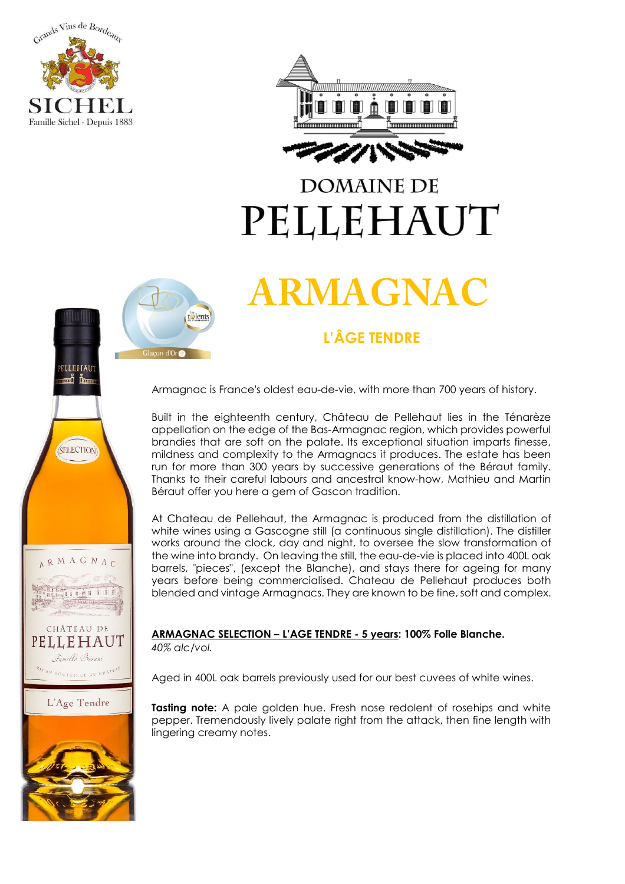





## **DOMAINE DE** PELLEHAUT

# **ARMAGNAC**

### **PIPI**

Armagnac is France's oldest eau-de-vie, with more than 700 years of history.

Built in the eighteenth century, Château de Pellehaut lies in the Ténarèze appellation on the edge of the Bas-Armagnac region, which provides powerful brandies that are soft on the palate. Its exceptional situation imparts finesse, mildness and complexity to the Armagnacs it produces. The estate has been run for more than 300 years by successive generations of the Béraut family. Thanks to their careful labours and ancestral know-how, Mathieu and Martin Béraut offer you here a gem of Gascon tradition.

At Chateau de Pellehaut, the Armagnac is produced from the distillation of white wines using a Gascogne still (a continuous single distillation). The distiller works around the clock, day and night, to oversee the slow transformation of the wine into brandy. On leaving the still, the eau-de-vie is placed into 400L oak barrels, "pieces", (except the Blanche), and stays there for ageing for many years before being commercialised. Chateau de Pellehaut produces both blended and vintage Armagnacs. They are known to be fine, soft and complex.

#### **ARMAGNAC 9623 SELECTION - 5 years: 100% Folle Blanche.**

*40% alc/vol.*

Aged in 400L oak barrels previously used for our best cuvees of white wines.

**Tasting note:** A pale golden hue. Fresh nose redolent of rosehips and white pepper. Tremendously lively palate right from the attack, then fine length with lingering creamy notes.